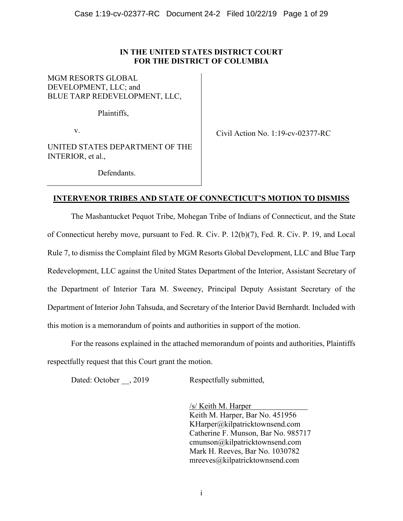### **IN THE UNITED STATES DISTRICT COURT FOR THE DISTRICT OF COLUMBIA**

MGM RESORTS GLOBAL DEVELOPMENT, LLC; and BLUE TARP REDEVELOPMENT, LLC,

Plaintiffs,

v.

Civil Action No. 1:19-cv-02377-RC

UNITED STATES DEPARTMENT OF THE INTERIOR, et al.,

Defendants.

# **INTERVENOR TRIBES AND STATE OF CONNECTICUT'S MOTION TO DISMISS**

The Mashantucket Pequot Tribe, Mohegan Tribe of Indians of Connecticut, and the State of Connecticut hereby move, pursuant to Fed. R. Civ. P. 12(b)(7), Fed. R. Civ. P. 19, and Local Rule 7, to dismiss the Complaint filed by MGM Resorts Global Development, LLC and Blue Tarp Redevelopment, LLC against the United States Department of the Interior, Assistant Secretary of the Department of Interior Tara M. Sweeney, Principal Deputy Assistant Secretary of the Department of Interior John Tahsuda, and Secretary of the Interior David Bernhardt. Included with this motion is a memorandum of points and authorities in support of the motion.

For the reasons explained in the attached memorandum of points and authorities, Plaintiffs respectfully request that this Court grant the motion.

Dated: October , 2019 Respectfully submitted,

/s/ Keith M. Harper Keith M. Harper, Bar No. 451956 KHarper@kilpatricktownsend.com Catherine F. Munson, Bar No. 985717 cmunson@kilpatricktownsend.com Mark H. Reeves, Bar No. 1030782 mreeves@kilpatricktownsend.com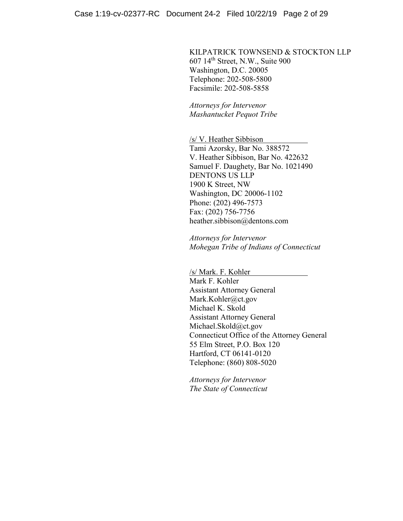KILPATRICK TOWNSEND & STOCKTON LLP 607 14th Street, N.W., Suite 900 Washington, D.C. 20005 Telephone: 202-508-5800 Facsimile: 202-508-5858

*Attorneys for Intervenor Mashantucket Pequot Tribe*

/s/ V. Heather Sibbison

Tami Azorsky, Bar No. 388572 V. Heather Sibbison, Bar No. 422632 Samuel F. Daughety, Bar No. 1021490 DENTONS US LLP 1900 K Street, NW Washington, DC 20006-1102 Phone: (202) 496-7573 Fax: (202) 756-7756 heather.sibbison@dentons.com

*Attorneys for Intervenor Mohegan Tribe of Indians of Connecticut*

/s/ Mark. F. Kohler Mark F. Kohler Assistant Attorney General Mark.Kohler@ct.gov Michael K. Skold Assistant Attorney General Michael.Skold@ct.gov Connecticut Office of the Attorney General 55 Elm Street, P.O. Box 120 Hartford, CT 06141-0120 Telephone: (860) 808-5020

*Attorneys for Intervenor The State of Connecticut*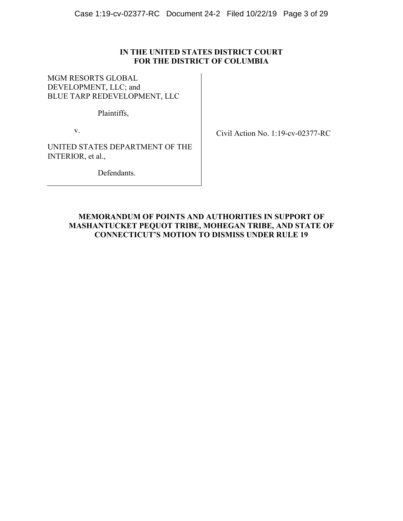### **IN THE UNITED STATES DISTRICT COURT FOR THE DISTRICT OF COLUMBIA**

MGM RESORTS GLOBAL DEVELOPMENT, LLC; and BLUE TARP REDEVELOPMENT, LLC

Plaintiffs,

v.

Civil Action No. 1:19-cv-02377-RC

UNITED STATES DEPARTMENT OF THE INTERIOR, et al.,

Defendants.

# **MEMORANDUM OF POINTS AND AUTHORITIES IN SUPPORT OF MASHANTUCKET PEQUOT TRIBE, MOHEGAN TRIBE, AND STATE OF CONNECTICUT'S MOTION TO DISMISS UNDER RULE 19**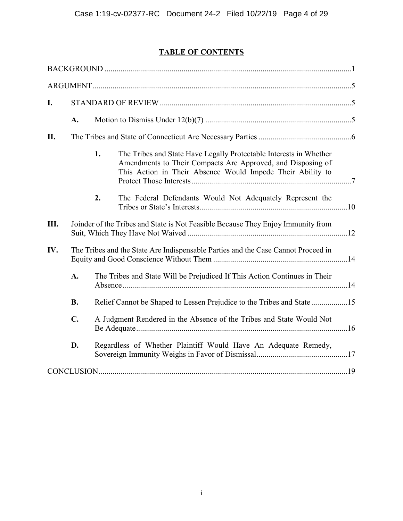# **TABLE OF CONTENTS**

| I.  |                                                                                                                                                                        |                                                                                   |                                                                                                                                                                                                 |  |  |  |
|-----|------------------------------------------------------------------------------------------------------------------------------------------------------------------------|-----------------------------------------------------------------------------------|-------------------------------------------------------------------------------------------------------------------------------------------------------------------------------------------------|--|--|--|
|     | A.                                                                                                                                                                     |                                                                                   |                                                                                                                                                                                                 |  |  |  |
| II. |                                                                                                                                                                        |                                                                                   |                                                                                                                                                                                                 |  |  |  |
|     |                                                                                                                                                                        | 1.                                                                                | The Tribes and State Have Legally Protectable Interests in Whether<br>Amendments to Their Compacts Are Approved, and Disposing of<br>This Action in Their Absence Would Impede Their Ability to |  |  |  |
|     |                                                                                                                                                                        | 2.                                                                                | The Federal Defendants Would Not Adequately Represent the                                                                                                                                       |  |  |  |
| Ш.  |                                                                                                                                                                        |                                                                                   | Joinder of the Tribes and State is Not Feasible Because They Enjoy Immunity from                                                                                                                |  |  |  |
| IV. |                                                                                                                                                                        | The Tribes and the State Are Indispensable Parties and the Case Cannot Proceed in |                                                                                                                                                                                                 |  |  |  |
|     | A.<br>The Tribes and State Will be Prejudiced If This Action Continues in Their<br><b>B.</b><br>Relief Cannot be Shaped to Lessen Prejudice to the Tribes and State 15 |                                                                                   |                                                                                                                                                                                                 |  |  |  |
|     |                                                                                                                                                                        |                                                                                   |                                                                                                                                                                                                 |  |  |  |
|     | $C_{\bullet}$                                                                                                                                                          | A Judgment Rendered in the Absence of the Tribes and State Would Not              |                                                                                                                                                                                                 |  |  |  |
|     | D.                                                                                                                                                                     |                                                                                   | Regardless of Whether Plaintiff Would Have An Adequate Remedy,                                                                                                                                  |  |  |  |
|     |                                                                                                                                                                        |                                                                                   |                                                                                                                                                                                                 |  |  |  |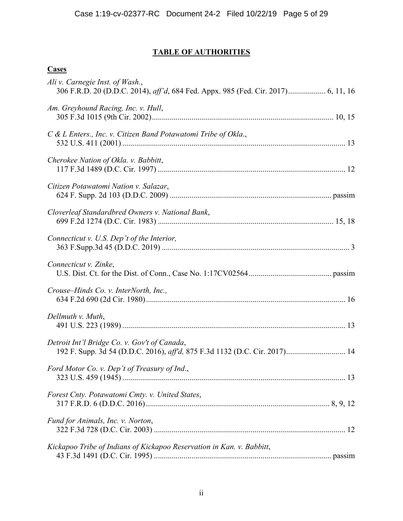# **TABLE OF AUTHORITIES**

# **Cases**

| Ali v. Carnegie Inst. of Wash.,                                                                                            |  |
|----------------------------------------------------------------------------------------------------------------------------|--|
| Am. Greyhound Racing, Inc. v. Hull,                                                                                        |  |
| C & L Enters., Inc. v. Citizen Band Potawatomi Tribe of Okla.,                                                             |  |
| Cherokee Nation of Okla. v. Babbitt,                                                                                       |  |
| Citizen Potawatomi Nation v. Salazar,                                                                                      |  |
| Cloverleaf Standardbred Owners v. National Bank,                                                                           |  |
| Connecticut v. U.S. Dep't of the Interior,                                                                                 |  |
| Connecticut v. Zinke,                                                                                                      |  |
| Crouse–Hinds Co. v. InterNorth, Inc.,                                                                                      |  |
| Dellmuth v. Muth,                                                                                                          |  |
| Detroit Int'l Bridge Co. v. Gov't of Canada,<br>192 F. Supp. 3d 54 (D.D.C. 2016), aff'd, 875 F.3d 1132 (D.C. Cir. 2017) 14 |  |
| Ford Motor Co. v. Dep't of Treasury of Ind.,                                                                               |  |
| Forest Cnty. Potawatomi Cmty. v. United States,                                                                            |  |
| Fund for Animals, Inc. v. Norton,                                                                                          |  |
| Kickapoo Tribe of Indians of Kickapoo Reservation in Kan. v. Babbitt,                                                      |  |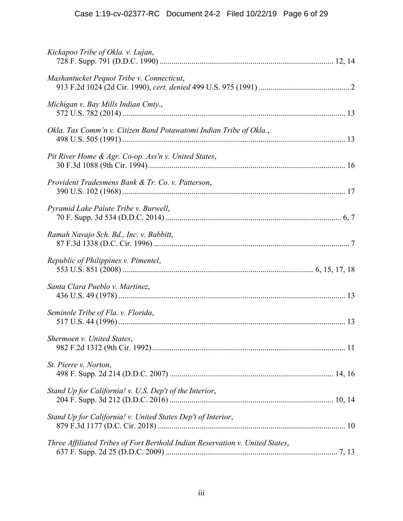| Kickapoo Tribe of Okla. v. Lujan,                                             |  |
|-------------------------------------------------------------------------------|--|
| Mashantucket Pequot Tribe v. Connecticut,                                     |  |
| Michigan v. Bay Mills Indian Cmty.,                                           |  |
| Okla. Tax Comm'n v. Citizen Band Potawatomi Indian Tribe of Okla.,            |  |
| Pit River Home & Agr. Co-op. Ass'n v. United States,                          |  |
| Provident Tradesmens Bank & Tr. Co. v. Patterson,                             |  |
| Pyramid Lake Paiute Tribe v. Burwell,                                         |  |
| Ramah Navajo Sch. Bd., Inc. v. Babbitt,                                       |  |
| Republic of Philippines v. Pimentel,                                          |  |
| Santa Clara Pueblo v. Martinez,                                               |  |
| Seminole Tribe of Fla. v. Florida,                                            |  |
| Shermoen v. United States,                                                    |  |
| St. Pierre v. Norton,                                                         |  |
| Stand Up for California! v. U.S. Dep't of the Interior,                       |  |
| Stand Up for California! v. United States Dep't of Interior,                  |  |
| Three Affiliated Tribes of Fort Berthold Indian Reservation v. United States, |  |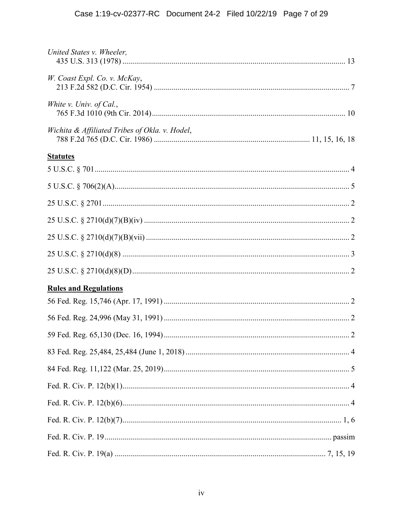| United States v. Wheeler,                      |  |
|------------------------------------------------|--|
| W. Coast Expl. Co. v. McKay,                   |  |
| White v. Univ. of Cal.,                        |  |
| Wichita & Affiliated Tribes of Okla. v. Hodel, |  |
| <b>Statutes</b>                                |  |
|                                                |  |
|                                                |  |
|                                                |  |
|                                                |  |
|                                                |  |
|                                                |  |
| <b>Rules and Regulations</b>                   |  |
|                                                |  |
|                                                |  |
|                                                |  |
|                                                |  |
|                                                |  |
|                                                |  |
|                                                |  |
|                                                |  |
|                                                |  |
|                                                |  |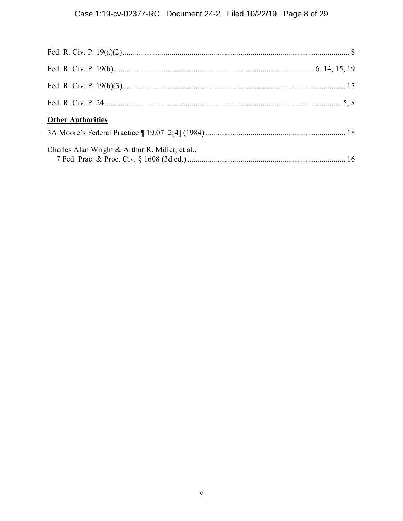| <b>Other Authorities</b>                        |  |
|-------------------------------------------------|--|
|                                                 |  |
| Charles Alan Wright & Arthur R. Miller, et al., |  |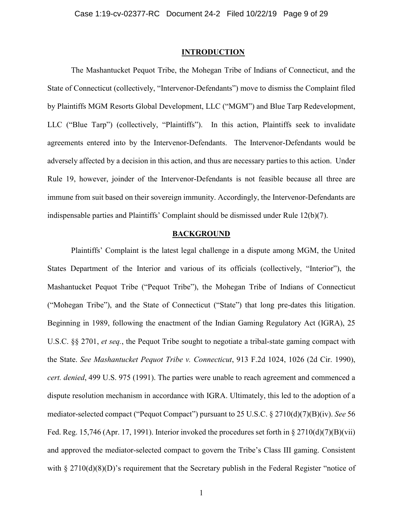#### **INTRODUCTION**

The Mashantucket Pequot Tribe, the Mohegan Tribe of Indians of Connecticut, and the State of Connecticut (collectively, "Intervenor-Defendants") move to dismiss the Complaint filed by Plaintiffs MGM Resorts Global Development, LLC ("MGM") and Blue Tarp Redevelopment, LLC ("Blue Tarp") (collectively, "Plaintiffs"). In this action, Plaintiffs seek to invalidate agreements entered into by the Intervenor-Defendants. The Intervenor-Defendants would be adversely affected by a decision in this action, and thus are necessary parties to this action. Under Rule 19, however, joinder of the Intervenor-Defendants is not feasible because all three are immune from suit based on their sovereign immunity. Accordingly, the Intervenor-Defendants are indispensable parties and Plaintiffs' Complaint should be dismissed under Rule 12(b)(7).

### **BACKGROUND**

Plaintiffs' Complaint is the latest legal challenge in a dispute among MGM, the United States Department of the Interior and various of its officials (collectively, "Interior"), the Mashantucket Pequot Tribe ("Pequot Tribe"), the Mohegan Tribe of Indians of Connecticut ("Mohegan Tribe"), and the State of Connecticut ("State") that long pre-dates this litigation. Beginning in 1989, following the enactment of the Indian Gaming Regulatory Act (IGRA), 25 U.S.C. §§ 2701, *et seq.*, the Pequot Tribe sought to negotiate a tribal-state gaming compact with the State. *See Mashantucket Pequot Tribe v. Connecticut*, 913 F.2d 1024, 1026 (2d Cir. 1990), *cert. denied*, 499 U.S. 975 (1991). The parties were unable to reach agreement and commenced a dispute resolution mechanism in accordance with IGRA. Ultimately, this led to the adoption of a mediator-selected compact ("Pequot Compact") pursuant to 25 U.S.C. § 2710(d)(7)(B)(iv). *See* 56 Fed. Reg. 15,746 (Apr. 17, 1991). Interior invoked the procedures set forth in  $\S 2710(d)(7)(B)(vii)$ and approved the mediator-selected compact to govern the Tribe's Class III gaming. Consistent with § 2710(d)(8)(D)'s requirement that the Secretary publish in the Federal Register "notice of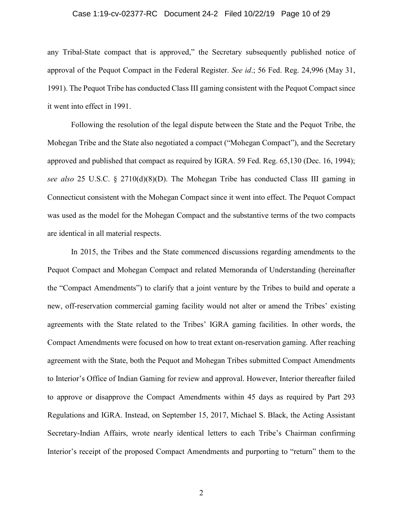#### Case 1:19-cv-02377-RC Document 24-2 Filed 10/22/19 Page 10 of 29

any Tribal-State compact that is approved," the Secretary subsequently published notice of approval of the Pequot Compact in the Federal Register. *See id*.; 56 Fed. Reg. 24,996 (May 31, 1991). The Pequot Tribe has conducted Class III gaming consistent with the Pequot Compact since it went into effect in 1991.

Following the resolution of the legal dispute between the State and the Pequot Tribe, the Mohegan Tribe and the State also negotiated a compact ("Mohegan Compact"), and the Secretary approved and published that compact as required by IGRA. 59 Fed. Reg. 65,130 (Dec. 16, 1994); *see also* 25 U.S.C. § 2710(d)(8)(D). The Mohegan Tribe has conducted Class III gaming in Connecticut consistent with the Mohegan Compact since it went into effect. The Pequot Compact was used as the model for the Mohegan Compact and the substantive terms of the two compacts are identical in all material respects.

In 2015, the Tribes and the State commenced discussions regarding amendments to the Pequot Compact and Mohegan Compact and related Memoranda of Understanding (hereinafter the "Compact Amendments") to clarify that a joint venture by the Tribes to build and operate a new, off-reservation commercial gaming facility would not alter or amend the Tribes' existing agreements with the State related to the Tribes' IGRA gaming facilities. In other words, the Compact Amendments were focused on how to treat extant on-reservation gaming. After reaching agreement with the State, both the Pequot and Mohegan Tribes submitted Compact Amendments to Interior's Office of Indian Gaming for review and approval. However, Interior thereafter failed to approve or disapprove the Compact Amendments within 45 days as required by Part 293 Regulations and IGRA. Instead, on September 15, 2017, Michael S. Black, the Acting Assistant Secretary-Indian Affairs, wrote nearly identical letters to each Tribe's Chairman confirming Interior's receipt of the proposed Compact Amendments and purporting to "return" them to the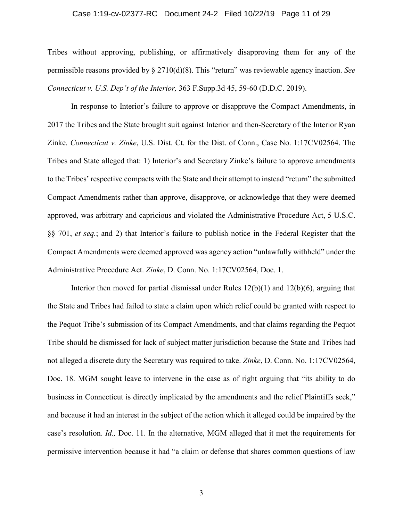#### Case 1:19-cv-02377-RC Document 24-2 Filed 10/22/19 Page 11 of 29

Tribes without approving, publishing, or affirmatively disapproving them for any of the permissible reasons provided by § 2710(d)(8). This "return" was reviewable agency inaction. *See Connecticut v. U.S. Dep't of the Interior,* 363 F.Supp.3d 45, 59-60 (D.D.C. 2019).

In response to Interior's failure to approve or disapprove the Compact Amendments, in 2017 the Tribes and the State brought suit against Interior and then-Secretary of the Interior Ryan Zinke. *Connecticut v. Zinke*, U.S. Dist. Ct. for the Dist. of Conn., Case No. 1:17CV02564. The Tribes and State alleged that: 1) Interior's and Secretary Zinke's failure to approve amendments to the Tribes' respective compacts with the State and their attempt to instead "return" the submitted Compact Amendments rather than approve, disapprove, or acknowledge that they were deemed approved, was arbitrary and capricious and violated the Administrative Procedure Act, 5 U.S.C. §§ 701, *et seq.*; and 2) that Interior's failure to publish notice in the Federal Register that the Compact Amendments were deemed approved was agency action "unlawfully withheld" under the Administrative Procedure Act. *Zinke*, D. Conn. No. 1:17CV02564, Doc. 1.

Interior then moved for partial dismissal under Rules  $12(b)(1)$  and  $12(b)(6)$ , arguing that the State and Tribes had failed to state a claim upon which relief could be granted with respect to the Pequot Tribe's submission of its Compact Amendments, and that claims regarding the Pequot Tribe should be dismissed for lack of subject matter jurisdiction because the State and Tribes had not alleged a discrete duty the Secretary was required to take. *Zinke*, D. Conn. No. 1:17CV02564, Doc. 18. MGM sought leave to intervene in the case as of right arguing that "its ability to do business in Connecticut is directly implicated by the amendments and the relief Plaintiffs seek," and because it had an interest in the subject of the action which it alleged could be impaired by the case's resolution. *Id.,* Doc. 11. In the alternative, MGM alleged that it met the requirements for permissive intervention because it had "a claim or defense that shares common questions of law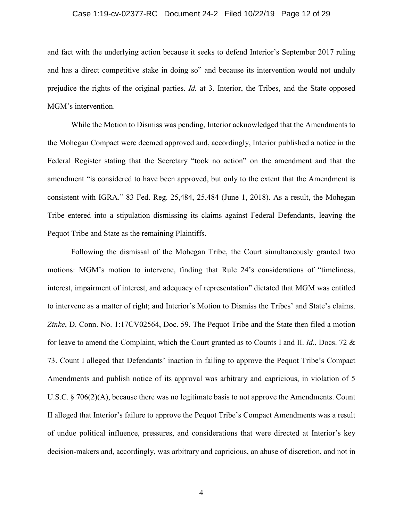#### Case 1:19-cv-02377-RC Document 24-2 Filed 10/22/19 Page 12 of 29

and fact with the underlying action because it seeks to defend Interior's September 2017 ruling and has a direct competitive stake in doing so" and because its intervention would not unduly prejudice the rights of the original parties. *Id.* at 3. Interior, the Tribes, and the State opposed MGM's intervention.

While the Motion to Dismiss was pending, Interior acknowledged that the Amendments to the Mohegan Compact were deemed approved and, accordingly, Interior published a notice in the Federal Register stating that the Secretary "took no action" on the amendment and that the amendment "is considered to have been approved, but only to the extent that the Amendment is consistent with IGRA." 83 Fed. Reg. 25,484, 25,484 (June 1, 2018). As a result, the Mohegan Tribe entered into a stipulation dismissing its claims against Federal Defendants, leaving the Pequot Tribe and State as the remaining Plaintiffs.

Following the dismissal of the Mohegan Tribe, the Court simultaneously granted two motions: MGM's motion to intervene, finding that Rule 24's considerations of "timeliness, interest, impairment of interest, and adequacy of representation" dictated that MGM was entitled to intervene as a matter of right; and Interior's Motion to Dismiss the Tribes' and State's claims. *Zinke*, D. Conn. No. 1:17CV02564, Doc. 59. The Pequot Tribe and the State then filed a motion for leave to amend the Complaint, which the Court granted as to Counts I and II. *Id.*, Docs. 72 & 73. Count I alleged that Defendants' inaction in failing to approve the Pequot Tribe's Compact Amendments and publish notice of its approval was arbitrary and capricious, in violation of 5 U.S.C. § 706(2)(A), because there was no legitimate basis to not approve the Amendments. Count II alleged that Interior's failure to approve the Pequot Tribe's Compact Amendments was a result of undue political influence, pressures, and considerations that were directed at Interior's key decision-makers and, accordingly, was arbitrary and capricious, an abuse of discretion, and not in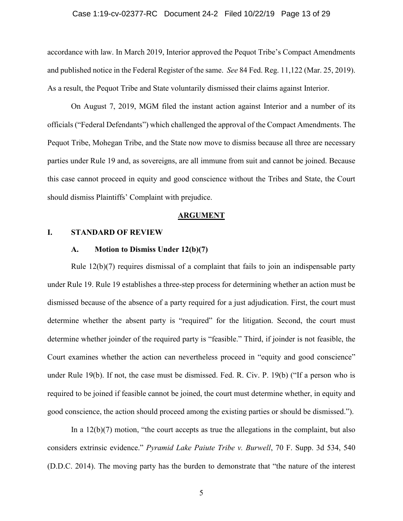#### Case 1:19-cv-02377-RC Document 24-2 Filed 10/22/19 Page 13 of 29

accordance with law. In March 2019, Interior approved the Pequot Tribe's Compact Amendments and published notice in the Federal Register of the same. *See* 84 Fed. Reg. 11,122 (Mar. 25, 2019). As a result, the Pequot Tribe and State voluntarily dismissed their claims against Interior.

On August 7, 2019, MGM filed the instant action against Interior and a number of its officials ("Federal Defendants") which challenged the approval of the Compact Amendments. The Pequot Tribe, Mohegan Tribe, and the State now move to dismiss because all three are necessary parties under Rule 19 and, as sovereigns, are all immune from suit and cannot be joined. Because this case cannot proceed in equity and good conscience without the Tribes and State, the Court should dismiss Plaintiffs' Complaint with prejudice.

#### **ARGUMENT**

### **I. STANDARD OF REVIEW**

### **A. Motion to Dismiss Under 12(b)(7)**

Rule 12(b)(7) requires dismissal of a complaint that fails to join an indispensable party under Rule 19. Rule 19 establishes a three-step process for determining whether an action must be dismissed because of the absence of a party required for a just adjudication. First, the court must determine whether the absent party is "required" for the litigation. Second, the court must determine whether joinder of the required party is "feasible." Third, if joinder is not feasible, the Court examines whether the action can nevertheless proceed in "equity and good conscience" under Rule 19(b). If not, the case must be dismissed. Fed. R. Civ. P. 19(b) ("If a person who is required to be joined if feasible cannot be joined, the court must determine whether, in equity and good conscience, the action should proceed among the existing parties or should be dismissed.").

In a  $12(b)(7)$  motion, "the court accepts as true the allegations in the complaint, but also considers extrinsic evidence." *Pyramid Lake Paiute Tribe v. Burwell*, 70 F. Supp. 3d 534, 540 (D.D.C. 2014). The moving party has the burden to demonstrate that "the nature of the interest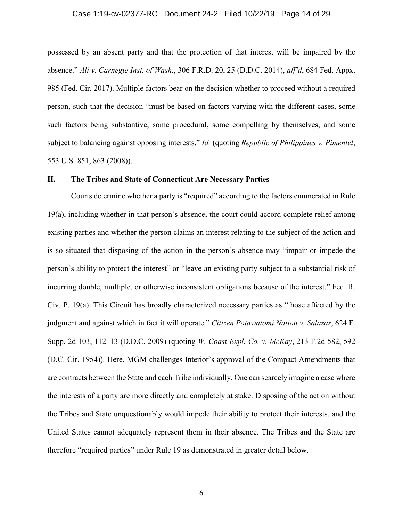#### Case 1:19-cv-02377-RC Document 24-2 Filed 10/22/19 Page 14 of 29

possessed by an absent party and that the protection of that interest will be impaired by the absence." *Ali v. Carnegie Inst. of Wash.*, 306 F.R.D. 20, 25 (D.D.C. 2014), *aff'd*, 684 Fed. Appx. 985 (Fed. Cir. 2017). Multiple factors bear on the decision whether to proceed without a required person, such that the decision "must be based on factors varying with the different cases, some such factors being substantive, some procedural, some compelling by themselves, and some subject to balancing against opposing interests." *Id.* (quoting *Republic of Philippines v. Pimentel*, 553 U.S. 851, 863 (2008)).

### **II. The Tribes and State of Connecticut Are Necessary Parties**

Courts determine whether a party is "required" according to the factors enumerated in Rule 19(a), including whether in that person's absence, the court could accord complete relief among existing parties and whether the person claims an interest relating to the subject of the action and is so situated that disposing of the action in the person's absence may "impair or impede the person's ability to protect the interest" or "leave an existing party subject to a substantial risk of incurring double, multiple, or otherwise inconsistent obligations because of the interest." Fed. R. Civ. P. 19(a). This Circuit has broadly characterized necessary parties as "those affected by the judgment and against which in fact it will operate." *Citizen Potawatomi Nation v. Salazar*, 624 F. Supp. 2d 103, 112–13 (D.D.C. 2009) (quoting *W. Coast Expl. Co. v. McKay*, 213 F.2d 582, 592 (D.C. Cir. 1954)). Here, MGM challenges Interior's approval of the Compact Amendments that are contracts between the State and each Tribe individually. One can scarcely imagine a case where the interests of a party are more directly and completely at stake. Disposing of the action without the Tribes and State unquestionably would impede their ability to protect their interests, and the United States cannot adequately represent them in their absence. The Tribes and the State are therefore "required parties" under Rule 19 as demonstrated in greater detail below.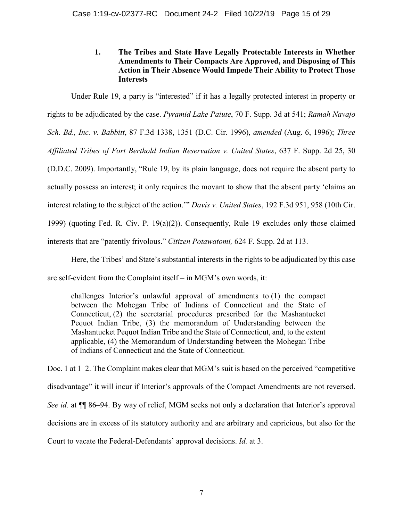# **1. The Tribes and State Have Legally Protectable Interests in Whether Amendments to Their Compacts Are Approved, and Disposing of This Action in Their Absence Would Impede Their Ability to Protect Those Interests**

Under Rule 19, a party is "interested" if it has a legally protected interest in property or rights to be adjudicated by the case. *Pyramid Lake Paiute*, 70 F. Supp. 3d at 541; *Ramah Navajo Sch. Bd., Inc. v. Babbitt*, 87 F.3d 1338, 1351 (D.C. Cir. 1996), *amended* (Aug. 6, 1996); *Three Affiliated Tribes of Fort Berthold Indian Reservation v. United States*, 637 F. Supp. 2d 25, 30 (D.D.C. 2009). Importantly, "Rule 19, by its plain language, does not require the absent party to actually possess an interest; it only requires the movant to show that the absent party 'claims an interest relating to the subject of the action.'" *Davis v. United States*, 192 F.3d 951, 958 (10th Cir. 1999) (quoting Fed. R. Civ. P. 19(a)(2)). Consequently, Rule 19 excludes only those claimed interests that are "patently frivolous." *Citizen Potawatomi,* 624 F. Supp. 2d at 113.

Here, the Tribes' and State's substantial interests in the rights to be adjudicated by this case are self-evident from the Complaint itself – in MGM's own words, it:

challenges Interior's unlawful approval of amendments to (1) the compact between the Mohegan Tribe of Indians of Connecticut and the State of Connecticut, (2) the secretarial procedures prescribed for the Mashantucket Pequot Indian Tribe, (3) the memorandum of Understanding between the Mashantucket Pequot Indian Tribe and the State of Connecticut, and, to the extent applicable, (4) the Memorandum of Understanding between the Mohegan Tribe of Indians of Connecticut and the State of Connecticut.

Doc. 1 at 1–2. The Complaint makes clear that MGM's suit is based on the perceived "competitive disadvantage" it will incur if Interior's approvals of the Compact Amendments are not reversed. *See id.* at ¶¶ 86–94. By way of relief, MGM seeks not only a declaration that Interior's approval decisions are in excess of its statutory authority and are arbitrary and capricious, but also for the Court to vacate the Federal-Defendants' approval decisions. *Id.* at 3.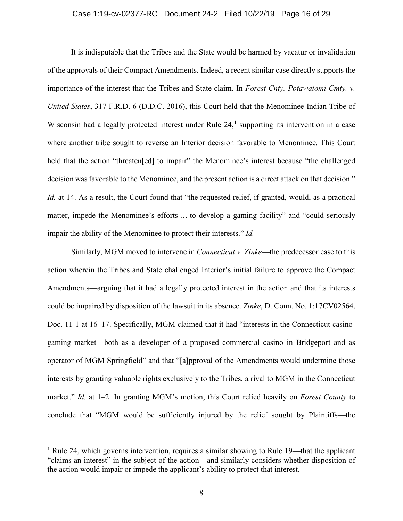#### Case 1:19-cv-02377-RC Document 24-2 Filed 10/22/19 Page 16 of 29

It is indisputable that the Tribes and the State would be harmed by vacatur or invalidation of the approvals of their Compact Amendments. Indeed, a recent similar case directly supports the importance of the interest that the Tribes and State claim. In *Forest Cnty. Potawatomi Cmty. v. United States*, 317 F.R.D. 6 (D.D.C. 2016), this Court held that the Menominee Indian Tribe of Wisconsin had a legally protected interest under Rule  $24<sup>1</sup>$  supporting its intervention in a case where another tribe sought to reverse an Interior decision favorable to Menominee. This Court held that the action "threaten[ed] to impair" the Menominee's interest because "the challenged decision was favorable to the Menominee, and the present action is a direct attack on that decision." *Id.* at 14. As a result, the Court found that "the requested relief, if granted, would, as a practical matter, impede the Menominee's efforts … to develop a gaming facility" and "could seriously impair the ability of the Menominee to protect their interests." *Id.*

Similarly, MGM moved to intervene in *Connecticut v. Zinke*—the predecessor case to this action wherein the Tribes and State challenged Interior's initial failure to approve the Compact Amendments—arguing that it had a legally protected interest in the action and that its interests could be impaired by disposition of the lawsuit in its absence. *Zinke*, D. Conn. No. 1:17CV02564, Doc. 11-1 at 16–17. Specifically, MGM claimed that it had "interests in the Connecticut casinogaming market—both as a developer of a proposed commercial casino in Bridgeport and as operator of MGM Springfield" and that "[a]pproval of the Amendments would undermine those interests by granting valuable rights exclusively to the Tribes, a rival to MGM in the Connecticut market." *Id.* at 1–2. In granting MGM's motion, this Court relied heavily on *Forest County* to conclude that "MGM would be sufficiently injured by the relief sought by Plaintiffs—the

<sup>&</sup>lt;sup>1</sup> Rule 24, which governs intervention, requires a similar showing to Rule 19—that the applicant "claims an interest" in the subject of the action—and similarly considers whether disposition of the action would impair or impede the applicant's ability to protect that interest.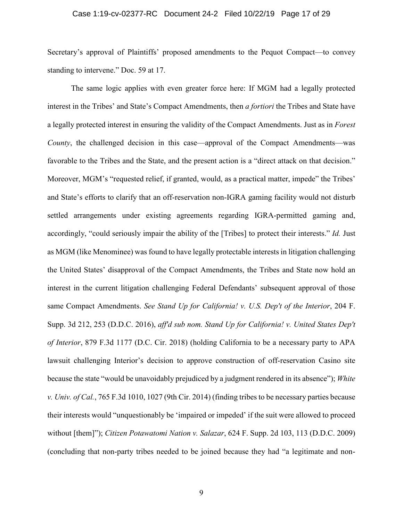#### Case 1:19-cv-02377-RC Document 24-2 Filed 10/22/19 Page 17 of 29

Secretary's approval of Plaintiffs' proposed amendments to the Pequot Compact—to convey standing to intervene." Doc. 59 at 17.

The same logic applies with even greater force here: If MGM had a legally protected interest in the Tribes' and State's Compact Amendments, then *a fortiori* the Tribes and State have a legally protected interest in ensuring the validity of the Compact Amendments. Just as in *Forest County*, the challenged decision in this case—approval of the Compact Amendments—was favorable to the Tribes and the State, and the present action is a "direct attack on that decision." Moreover, MGM's "requested relief, if granted, would, as a practical matter, impede" the Tribes' and State's efforts to clarify that an off-reservation non-IGRA gaming facility would not disturb settled arrangements under existing agreements regarding IGRA-permitted gaming and, accordingly, "could seriously impair the ability of the [Tribes] to protect their interests." *Id.* Just as MGM (like Menominee) was found to have legally protectable interests in litigation challenging the United States' disapproval of the Compact Amendments, the Tribes and State now hold an interest in the current litigation challenging Federal Defendants' subsequent approval of those same Compact Amendments. *See Stand Up for California! v. U.S. Dep't of the Interior*, 204 F. Supp. 3d 212, 253 (D.D.C. 2016), *aff'd sub nom. Stand Up for California! v. United States Dep't of Interior*, 879 F.3d 1177 (D.C. Cir. 2018) (holding California to be a necessary party to APA lawsuit challenging Interior's decision to approve construction of off-reservation Casino site because the state "would be unavoidably prejudiced by a judgment rendered in its absence"); *White v. Univ. of Cal.*, 765 F.3d 1010, 1027 (9th Cir. 2014) (finding tribes to be necessary parties because their interests would "unquestionably be 'impaired or impeded' if the suit were allowed to proceed without [them]"); *Citizen Potawatomi Nation v. Salazar*, 624 F. Supp. 2d 103, 113 (D.D.C. 2009) (concluding that non-party tribes needed to be joined because they had "a legitimate and non-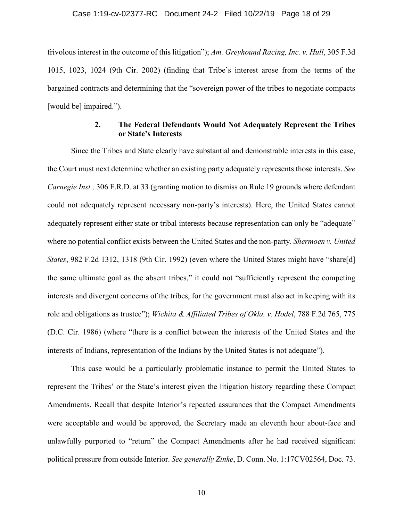frivolous interest in the outcome of this litigation"); *Am. Greyhound Racing, Inc. v. Hull*, 305 F.3d 1015, 1023, 1024 (9th Cir. 2002) (finding that Tribe's interest arose from the terms of the bargained contracts and determining that the "sovereign power of the tribes to negotiate compacts [would be] impaired.").

### **2. The Federal Defendants Would Not Adequately Represent the Tribes or State's Interests**

Since the Tribes and State clearly have substantial and demonstrable interests in this case, the Court must next determine whether an existing party adequately represents those interests. *See Carnegie Inst.,* 306 F.R.D. at 33 (granting motion to dismiss on Rule 19 grounds where defendant could not adequately represent necessary non-party's interests). Here, the United States cannot adequately represent either state or tribal interests because representation can only be "adequate" where no potential conflict exists between the United States and the non-party. *Shermoen v. United States*, 982 F.2d 1312, 1318 (9th Cir. 1992) (even where the United States might have "share[d] the same ultimate goal as the absent tribes," it could not "sufficiently represent the competing interests and divergent concerns of the tribes, for the government must also act in keeping with its role and obligations as trustee"); *Wichita & Affiliated Tribes of Okla. v. Hodel*, 788 F.2d 765, 775 (D.C. Cir. 1986) (where "there is a conflict between the interests of the United States and the interests of Indians, representation of the Indians by the United States is not adequate").

This case would be a particularly problematic instance to permit the United States to represent the Tribes' or the State's interest given the litigation history regarding these Compact Amendments. Recall that despite Interior's repeated assurances that the Compact Amendments were acceptable and would be approved, the Secretary made an eleventh hour about-face and unlawfully purported to "return" the Compact Amendments after he had received significant political pressure from outside Interior. *See generally Zinke*, D. Conn. No. 1:17CV02564, Doc. 73.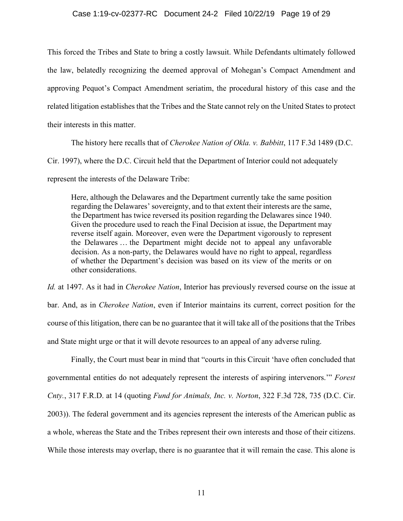#### Case 1:19-cv-02377-RC Document 24-2 Filed 10/22/19 Page 19 of 29

This forced the Tribes and State to bring a costly lawsuit. While Defendants ultimately followed the law, belatedly recognizing the deemed approval of Mohegan's Compact Amendment and approving Pequot's Compact Amendment seriatim, the procedural history of this case and the related litigation establishes that the Tribes and the State cannot rely on the United States to protect their interests in this matter.

The history here recalls that of *Cherokee Nation of Okla. v. Babbitt*, 117 F.3d 1489 (D.C. Cir. 1997), where the D.C. Circuit held that the Department of Interior could not adequately represent the interests of the Delaware Tribe:

Here, although the Delawares and the Department currently take the same position regarding the Delawares' sovereignty, and to that extent their interests are the same, the Department has twice reversed its position regarding the Delawares since 1940. Given the procedure used to reach the Final Decision at issue, the Department may reverse itself again. Moreover, even were the Department vigorously to represent the Delawares … the Department might decide not to appeal any unfavorable decision. As a non-party, the Delawares would have no right to appeal, regardless of whether the Department's decision was based on its view of the merits or on other considerations.

*Id.* at 1497. As it had in *Cherokee Nation*, Interior has previously reversed course on the issue at bar. And, as in *Cherokee Nation*, even if Interior maintains its current, correct position for the course of this litigation, there can be no guarantee that it will take all of the positions that the Tribes and State might urge or that it will devote resources to an appeal of any adverse ruling.

Finally, the Court must bear in mind that "courts in this Circuit 'have often concluded that governmental entities do not adequately represent the interests of aspiring intervenors.'" *Forest Cnty.*, 317 F.R.D. at 14 (quoting *Fund for Animals, Inc. v. Norton*, 322 F.3d 728, 735 (D.C. Cir. 2003)). The federal government and its agencies represent the interests of the American public as a whole, whereas the State and the Tribes represent their own interests and those of their citizens. While those interests may overlap, there is no guarantee that it will remain the case. This alone is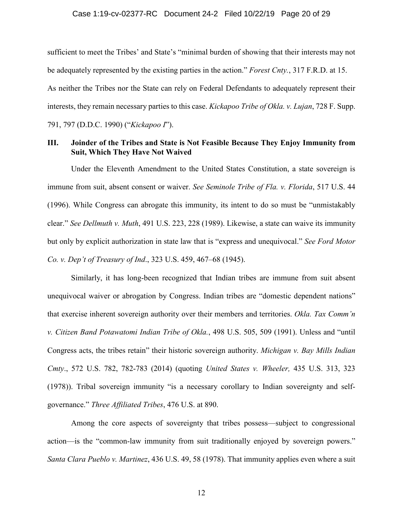sufficient to meet the Tribes' and State's "minimal burden of showing that their interests may not be adequately represented by the existing parties in the action." *Forest Cnty.*, 317 F.R.D. at 15. As neither the Tribes nor the State can rely on Federal Defendants to adequately represent their interests, they remain necessary parties to this case. *Kickapoo Tribe of Okla. v. Lujan*, 728 F. Supp. 791, 797 (D.D.C. 1990) ("*Kickapoo I*").

### **III. Joinder of the Tribes and State is Not Feasible Because They Enjoy Immunity from Suit, Which They Have Not Waived**

Under the Eleventh Amendment to the United States Constitution, a state sovereign is immune from suit, absent consent or waiver. *See Seminole Tribe of Fla. v. Florida*, 517 U.S. 44 (1996). While Congress can abrogate this immunity, its intent to do so must be "unmistakably clear." *See Dellmuth v. Muth*, 491 U.S. 223, 228 (1989). Likewise, a state can waive its immunity but only by explicit authorization in state law that is "express and unequivocal." *See Ford Motor Co. v. Dep't of Treasury of Ind*., 323 U.S. 459, 467–68 (1945).

Similarly, it has long-been recognized that Indian tribes are immune from suit absent unequivocal waiver or abrogation by Congress. Indian tribes are "domestic dependent nations" that exercise inherent sovereign authority over their members and territories. *Okla. Tax Comm'n v. Citizen Band Potawatomi Indian Tribe of Okla.*, 498 U.S. 505, 509 (1991). Unless and "until Congress acts, the tribes retain" their historic sovereign authority. *Michigan v. Bay Mills Indian Cmty*., 572 U.S. 782, 782-783 (2014) (quoting *United States v. Wheeler,* 435 U.S. 313, 323 (1978)). Tribal sovereign immunity "is a necessary corollary to Indian sovereignty and selfgovernance." *Three Affiliated Tribes*, 476 U.S. at 890.

Among the core aspects of sovereignty that tribes possess—subject to congressional action—is the "common-law immunity from suit traditionally enjoyed by sovereign powers." *Santa Clara Pueblo v. Martinez*, 436 U.S. 49, 58 (1978). That immunity applies even where a suit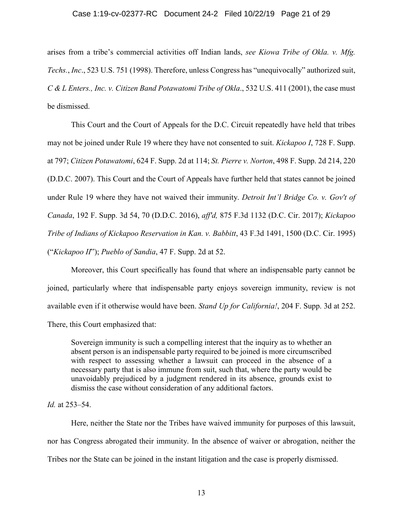#### Case 1:19-cv-02377-RC Document 24-2 Filed 10/22/19 Page 21 of 29

arises from a tribe's commercial activities off Indian lands, *see Kiowa Tribe of Okla. v. Mfg. Techs.*, *Inc*., 523 U.S. 751 (1998). Therefore, unless Congress has "unequivocally" authorized suit, *C & L Enters., Inc. v. Citizen Band Potawatomi Tribe of Okla*., 532 U.S. 411 (2001), the case must be dismissed.

This Court and the Court of Appeals for the D.C. Circuit repeatedly have held that tribes may not be joined under Rule 19 where they have not consented to suit. *Kickapoo I*, 728 F. Supp. at 797; *Citizen Potawatomi*, 624 F. Supp. 2d at 114; *St. Pierre v. Norton*, 498 F. Supp. 2d 214, 220 (D.D.C. 2007). This Court and the Court of Appeals have further held that states cannot be joined under Rule 19 where they have not waived their immunity. *Detroit Int'l Bridge Co. v. Gov't of Canada*, 192 F. Supp. 3d 54, 70 (D.D.C. 2016), *aff'd,* 875 F.3d 1132 (D.C. Cir. 2017); *Kickapoo Tribe of Indians of Kickapoo Reservation in Kan. v. Babbitt*, 43 F.3d 1491, 1500 (D.C. Cir. 1995) ("*Kickapoo II*"); *Pueblo of Sandia*, 47 F. Supp. 2d at 52.

Moreover, this Court specifically has found that where an indispensable party cannot be joined, particularly where that indispensable party enjoys sovereign immunity, review is not available even if it otherwise would have been. *Stand Up for California!*, 204 F. Supp. 3d at 252. There, this Court emphasized that:

Sovereign immunity is such a compelling interest that the inquiry as to whether an absent person is an indispensable party required to be joined is more circumscribed with respect to assessing whether a lawsuit can proceed in the absence of a necessary party that is also immune from suit, such that, where the party would be unavoidably prejudiced by a judgment rendered in its absence, grounds exist to dismiss the case without consideration of any additional factors.

### *Id.* at 253–54.

Here, neither the State nor the Tribes have waived immunity for purposes of this lawsuit, nor has Congress abrogated their immunity. In the absence of waiver or abrogation, neither the Tribes nor the State can be joined in the instant litigation and the case is properly dismissed.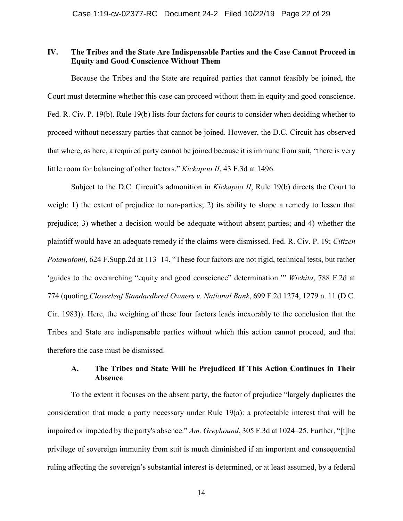### **IV. The Tribes and the State Are Indispensable Parties and the Case Cannot Proceed in Equity and Good Conscience Without Them**

Because the Tribes and the State are required parties that cannot feasibly be joined, the Court must determine whether this case can proceed without them in equity and good conscience. Fed. R. Civ. P. 19(b). Rule 19(b) lists four factors for courts to consider when deciding whether to proceed without necessary parties that cannot be joined. However, the D.C. Circuit has observed that where, as here, a required party cannot be joined because it is immune from suit, "there is very little room for balancing of other factors." *Kickapoo II*, 43 F.3d at 1496.

Subject to the D.C. Circuit's admonition in *Kickapoo II*, Rule 19(b) directs the Court to weigh: 1) the extent of prejudice to non-parties; 2) its ability to shape a remedy to lessen that prejudice; 3) whether a decision would be adequate without absent parties; and 4) whether the plaintiff would have an adequate remedy if the claims were dismissed. Fed. R. Civ. P. 19; *Citizen Potawatomi*, 624 F.Supp.2d at 113–14. "These four factors are not rigid, technical tests, but rather 'guides to the overarching "equity and good conscience" determination.'" *Wichita*, 788 F.2d at 774 (quoting *Cloverleaf Standardbred Owners v. National Bank*, 699 F.2d 1274, 1279 n. 11 (D.C. Cir. 1983)). Here, the weighing of these four factors leads inexorably to the conclusion that the Tribes and State are indispensable parties without which this action cannot proceed, and that therefore the case must be dismissed.

## **A. The Tribes and State Will be Prejudiced If This Action Continues in Their Absence**

To the extent it focuses on the absent party, the factor of prejudice "largely duplicates the consideration that made a party necessary under Rule 19(a): a protectable interest that will be impaired or impeded by the party's absence." *Am. Greyhound*, 305 F.3d at 1024–25. Further, "[t]he privilege of sovereign immunity from suit is much diminished if an important and consequential ruling affecting the sovereign's substantial interest is determined, or at least assumed, by a federal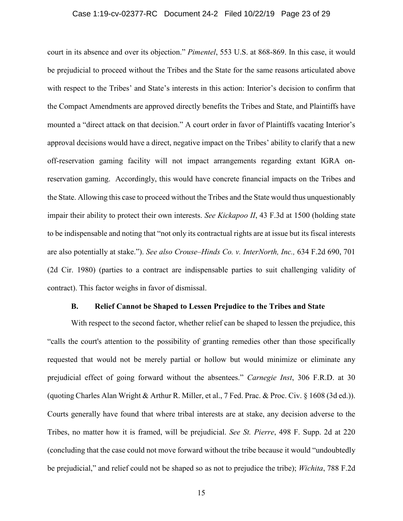#### Case 1:19-cv-02377-RC Document 24-2 Filed 10/22/19 Page 23 of 29

court in its absence and over its objection." *Pimentel*, 553 U.S. at 868-869. In this case, it would be prejudicial to proceed without the Tribes and the State for the same reasons articulated above with respect to the Tribes' and State's interests in this action: Interior's decision to confirm that the Compact Amendments are approved directly benefits the Tribes and State, and Plaintiffs have mounted a "direct attack on that decision." A court order in favor of Plaintiffs vacating Interior's approval decisions would have a direct, negative impact on the Tribes' ability to clarify that a new off-reservation gaming facility will not impact arrangements regarding extant IGRA onreservation gaming. Accordingly, this would have concrete financial impacts on the Tribes and the State. Allowing this case to proceed without the Tribes and the State would thus unquestionably impair their ability to protect their own interests. *See Kickapoo II*, 43 F.3d at 1500 (holding state to be indispensable and noting that "not only its contractual rights are at issue but its fiscal interests are also potentially at stake."). *See also Crouse–Hinds Co. v. InterNorth, Inc.,* 634 F.2d 690, 701 (2d Cir. 1980) (parties to a contract are indispensable parties to suit challenging validity of contract). This factor weighs in favor of dismissal.

#### **B. Relief Cannot be Shaped to Lessen Prejudice to the Tribes and State**

With respect to the second factor, whether relief can be shaped to lessen the prejudice, this "calls the court's attention to the possibility of granting remedies other than those specifically requested that would not be merely partial or hollow but would minimize or eliminate any prejudicial effect of going forward without the absentees." *Carnegie Inst*, 306 F.R.D. at 30 (quoting Charles Alan Wright & Arthur R. Miller, et al., 7 Fed. Prac. & Proc. Civ. § 1608 (3d ed.)). Courts generally have found that where tribal interests are at stake, any decision adverse to the Tribes, no matter how it is framed, will be prejudicial. *See St. Pierre*, 498 F. Supp. 2d at 220 (concluding that the case could not move forward without the tribe because it would "undoubtedly be prejudicial," and relief could not be shaped so as not to prejudice the tribe); *Wichita*, 788 F.2d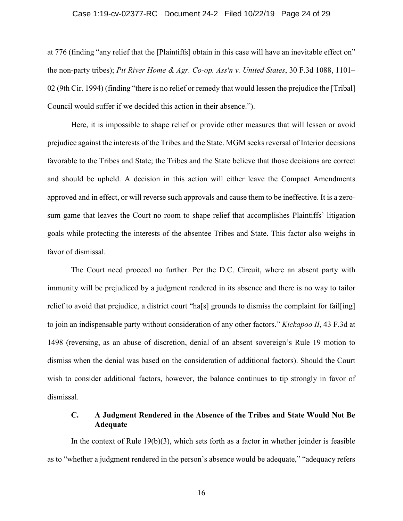#### Case 1:19-cv-02377-RC Document 24-2 Filed 10/22/19 Page 24 of 29

at 776 (finding "any relief that the [Plaintiffs] obtain in this case will have an inevitable effect on" the non-party tribes); *Pit River Home & Agr. Co-op. Ass'n v. United States*, 30 F.3d 1088, 1101– 02 (9th Cir. 1994) (finding "there is no relief or remedy that would lessen the prejudice the [Tribal] Council would suffer if we decided this action in their absence.").

Here, it is impossible to shape relief or provide other measures that will lessen or avoid prejudice against the interests of the Tribes and the State. MGM seeks reversal of Interior decisions favorable to the Tribes and State; the Tribes and the State believe that those decisions are correct and should be upheld. A decision in this action will either leave the Compact Amendments approved and in effect, or will reverse such approvals and cause them to be ineffective. It is a zerosum game that leaves the Court no room to shape relief that accomplishes Plaintiffs' litigation goals while protecting the interests of the absentee Tribes and State. This factor also weighs in favor of dismissal.

The Court need proceed no further. Per the D.C. Circuit, where an absent party with immunity will be prejudiced by a judgment rendered in its absence and there is no way to tailor relief to avoid that prejudice, a district court "ha[s] grounds to dismiss the complaint for fail[ing] to join an indispensable party without consideration of any other factors." *Kickapoo II*, 43 F.3d at 1498 (reversing, as an abuse of discretion, denial of an absent sovereign's Rule 19 motion to dismiss when the denial was based on the consideration of additional factors). Should the Court wish to consider additional factors, however, the balance continues to tip strongly in favor of dismissal.

### **C. A Judgment Rendered in the Absence of the Tribes and State Would Not Be Adequate**

In the context of Rule  $19(b)(3)$ , which sets forth as a factor in whether joinder is feasible as to "whether a judgment rendered in the person's absence would be adequate," "adequacy refers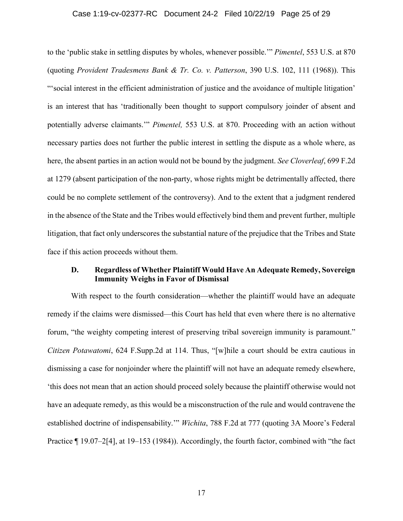#### Case 1:19-cv-02377-RC Document 24-2 Filed 10/22/19 Page 25 of 29

to the 'public stake in settling disputes by wholes, whenever possible.'" *Pimentel*, 553 U.S. at 870 (quoting *Provident Tradesmens Bank & Tr. Co. v. Patterson*, 390 U.S. 102, 111 (1968)). This "'social interest in the efficient administration of justice and the avoidance of multiple litigation' is an interest that has 'traditionally been thought to support compulsory joinder of absent and potentially adverse claimants.'" *Pimentel,* 553 U.S. at 870. Proceeding with an action without necessary parties does not further the public interest in settling the dispute as a whole where, as here, the absent parties in an action would not be bound by the judgment. *See Cloverleaf*, 699 F.2d at 1279 (absent participation of the non-party, whose rights might be detrimentally affected, there could be no complete settlement of the controversy). And to the extent that a judgment rendered in the absence of the State and the Tribes would effectively bind them and prevent further, multiple litigation, that fact only underscores the substantial nature of the prejudice that the Tribes and State face if this action proceeds without them.

## **D. Regardless of Whether Plaintiff Would Have An Adequate Remedy, Sovereign Immunity Weighs in Favor of Dismissal**

With respect to the fourth consideration—whether the plaintiff would have an adequate remedy if the claims were dismissed—this Court has held that even where there is no alternative forum, "the weighty competing interest of preserving tribal sovereign immunity is paramount." *Citizen Potawatomi*, 624 F.Supp.2d at 114. Thus, "[w]hile a court should be extra cautious in dismissing a case for nonjoinder where the plaintiff will not have an adequate remedy elsewhere, 'this does not mean that an action should proceed solely because the plaintiff otherwise would not have an adequate remedy, as this would be a misconstruction of the rule and would contravene the established doctrine of indispensability.'" *Wichita*, 788 F.2d at 777 (quoting 3A Moore's Federal Practice ¶ 19.07–2[4], at 19–153 (1984)). Accordingly, the fourth factor, combined with "the fact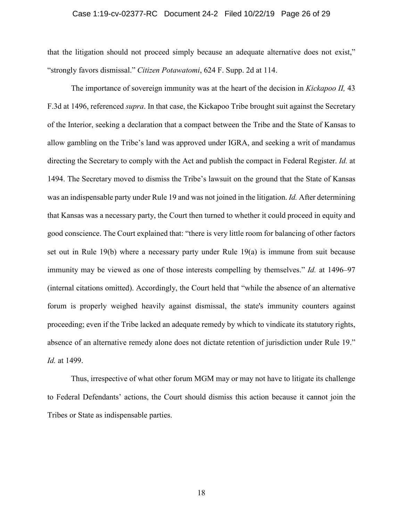#### Case 1:19-cv-02377-RC Document 24-2 Filed 10/22/19 Page 26 of 29

that the litigation should not proceed simply because an adequate alternative does not exist," "strongly favors dismissal." *Citizen Potawatomi*, 624 F. Supp. 2d at 114.

The importance of sovereign immunity was at the heart of the decision in *Kickapoo II,* 43 F.3d at 1496, referenced *supra*. In that case, the Kickapoo Tribe brought suit against the Secretary of the Interior, seeking a declaration that a compact between the Tribe and the State of Kansas to allow gambling on the Tribe's land was approved under IGRA, and seeking a writ of mandamus directing the Secretary to comply with the Act and publish the compact in Federal Register. *Id.* at 1494. The Secretary moved to dismiss the Tribe's lawsuit on the ground that the State of Kansas was an indispensable party under Rule 19 and was not joined in the litigation. *Id.* After determining that Kansas was a necessary party, the Court then turned to whether it could proceed in equity and good conscience. The Court explained that: "there is very little room for balancing of other factors set out in Rule 19(b) where a necessary party under Rule 19(a) is immune from suit because immunity may be viewed as one of those interests compelling by themselves." *Id.* at 1496–97 (internal citations omitted). Accordingly, the Court held that "while the absence of an alternative forum is properly weighed heavily against dismissal, the state's immunity counters against proceeding; even if the Tribe lacked an adequate remedy by which to vindicate its statutory rights, absence of an alternative remedy alone does not dictate retention of jurisdiction under Rule 19." *Id.* at 1499.

Thus, irrespective of what other forum MGM may or may not have to litigate its challenge to Federal Defendants' actions, the Court should dismiss this action because it cannot join the Tribes or State as indispensable parties.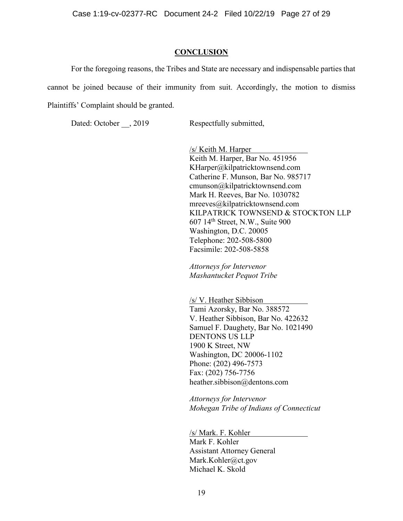#### **CONCLUSION**

For the foregoing reasons, the Tribes and State are necessary and indispensable parties that cannot be joined because of their immunity from suit. Accordingly, the motion to dismiss Plaintiffs' Complaint should be granted.

Dated: October \_\_, 2019 Respectfully submitted,

/s/ Keith M. Harper Keith M. Harper, Bar No. 451956 KHarper@kilpatricktownsend.com Catherine F. Munson, Bar No. 985717 cmunson@kilpatricktownsend.com Mark H. Reeves, Bar No. 1030782 mreeves@kilpatricktownsend.com KILPATRICK TOWNSEND & STOCKTON LLP 607 14th Street, N.W., Suite 900 Washington, D.C. 20005 Telephone: 202-508-5800 Facsimile: 202-508-5858

*Attorneys for Intervenor Mashantucket Pequot Tribe*

/s/ V. Heather Sibbison Tami Azorsky, Bar No. 388572 V. Heather Sibbison, Bar No. 422632 Samuel F. Daughety, Bar No. 1021490 DENTONS US LLP 1900 K Street, NW Washington, DC 20006-1102 Phone: (202) 496-7573 Fax: (202) 756-7756 heather.sibbison@dentons.com

*Attorneys for Intervenor Mohegan Tribe of Indians of Connecticut*

/s/ Mark. F. Kohler Mark F. Kohler Assistant Attorney General Mark.Kohler@ct.gov Michael K. Skold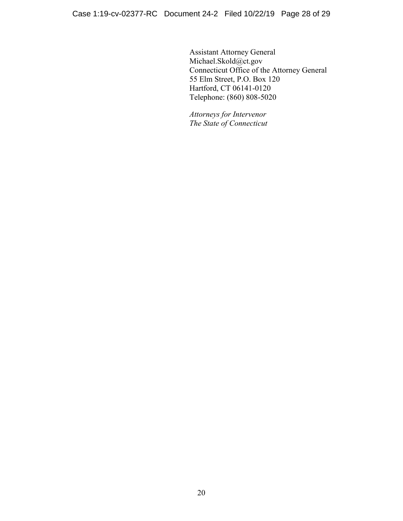Assistant Attorney General Michael.Skold@ct.gov Connecticut Office of the Attorney General 55 Elm Street, P.O. Box 120 Hartford, CT 06141-0120 Telephone: (860) 808-5020

*Attorneys for Intervenor The State of Connecticut*